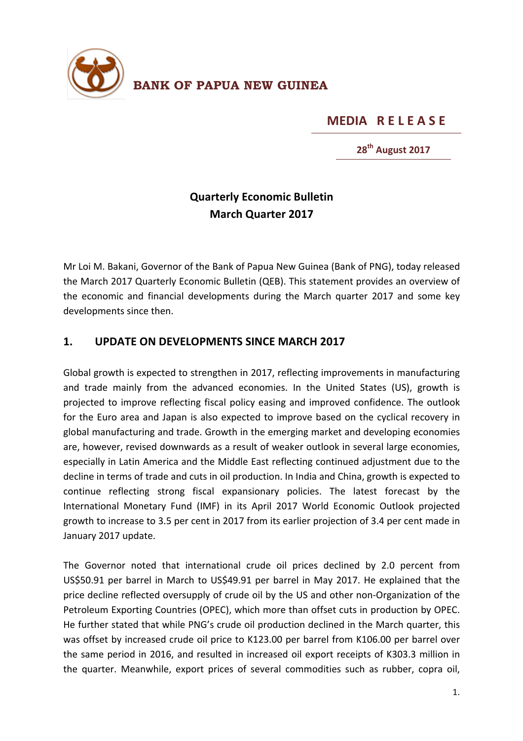

**MEDIA RELEASE** 

**28th August 2017**

## **Quarterly Economic Bulletin March Quarter 2017**

Mr Loi M. Bakani, Governor of the Bank of Papua New Guinea (Bank of PNG), today released the March 2017 Quarterly Economic Bulletin (QEB). This statement provides an overview of the economic and financial developments during the March quarter 2017 and some key developments since then.

## 1. **UPDATE ON DEVELOPMENTS SINCE MARCH 2017**

Global growth is expected to strengthen in 2017, reflecting improvements in manufacturing and trade mainly from the advanced economies. In the United States (US), growth is projected to improve reflecting fiscal policy easing and improved confidence. The outlook for the Euro area and Japan is also expected to improve based on the cyclical recovery in global manufacturing and trade. Growth in the emerging market and developing economies are, however, revised downwards as a result of weaker outlook in several large economies, especially in Latin America and the Middle East reflecting continued adjustment due to the decline in terms of trade and cuts in oil production. In India and China, growth is expected to continue reflecting strong fiscal expansionary policies. The latest forecast by the International Monetary Fund (IMF) in its April 2017 World Economic Outlook projected growth to increase to 3.5 per cent in 2017 from its earlier projection of 3.4 per cent made in January 2017 update.

The Governor noted that international crude oil prices declined by 2.0 percent from US\$50.91 per barrel in March to US\$49.91 per barrel in May 2017. He explained that the price decline reflected oversupply of crude oil by the US and other non-Organization of the Petroleum Exporting Countries (OPEC), which more than offset cuts in production by OPEC. He further stated that while PNG's crude oil production declined in the March quarter, this was offset by increased crude oil price to K123.00 per barrel from K106.00 per barrel over the same period in 2016, and resulted in increased oil export receipts of K303.3 million in the quarter. Meanwhile, export prices of several commodities such as rubber, copra oil,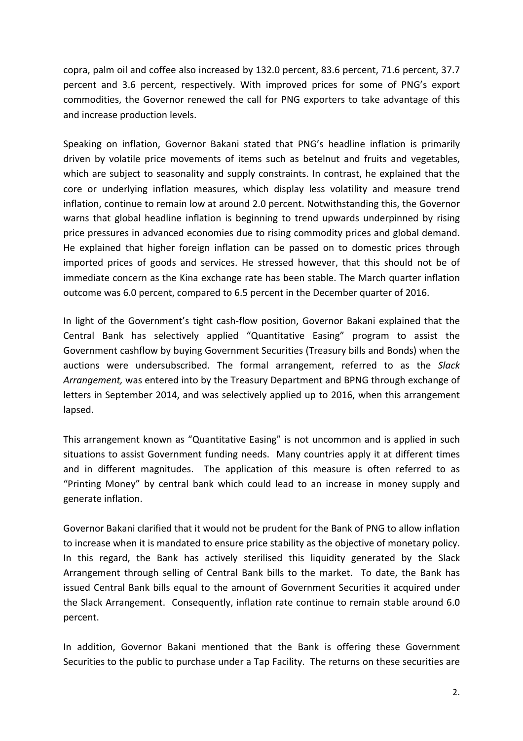copra, palm oil and coffee also increased by 132.0 percent, 83.6 percent, 71.6 percent, 37.7 percent and 3.6 percent, respectively. With improved prices for some of PNG's export commodities, the Governor renewed the call for PNG exporters to take advantage of this and increase production levels.

Speaking on inflation, Governor Bakani stated that PNG's headline inflation is primarily driven by volatile price movements of items such as betelnut and fruits and vegetables, which are subject to seasonality and supply constraints. In contrast, he explained that the core or underlying inflation measures, which display less volatility and measure trend inflation, continue to remain low at around 2.0 percent. Notwithstanding this, the Governor warns that global headline inflation is beginning to trend upwards underpinned by rising price pressures in advanced economies due to rising commodity prices and global demand. He explained that higher foreign inflation can be passed on to domestic prices through imported prices of goods and services. He stressed however, that this should not be of immediate concern as the Kina exchange rate has been stable. The March quarter inflation outcome was 6.0 percent, compared to 6.5 percent in the December quarter of 2016.

In light of the Government's tight cash-flow position, Governor Bakani explained that the Central Bank has selectively applied "Quantitative Easing" program to assist the Government cashflow by buying Government Securities (Treasury bills and Bonds) when the auctions were undersubscribed. The formal arrangement, referred to as the Slack *Arrangement*, was entered into by the Treasury Department and BPNG through exchange of letters in September 2014, and was selectively applied up to 2016, when this arrangement lapsed.

This arrangement known as "Quantitative Easing" is not uncommon and is applied in such situations to assist Government funding needs. Many countries apply it at different times and in different magnitudes. The application of this measure is often referred to as "Printing Money" by central bank which could lead to an increase in money supply and generate inflation.

Governor Bakani clarified that it would not be prudent for the Bank of PNG to allow inflation to increase when it is mandated to ensure price stability as the objective of monetary policy. In this regard, the Bank has actively sterilised this liquidity generated by the Slack Arrangement through selling of Central Bank bills to the market. To date, the Bank has issued Central Bank bills equal to the amount of Government Securities it acquired under the Slack Arrangement. Consequently, inflation rate continue to remain stable around 6.0 percent.

In addition, Governor Bakani mentioned that the Bank is offering these Government Securities to the public to purchase under a Tap Facility. The returns on these securities are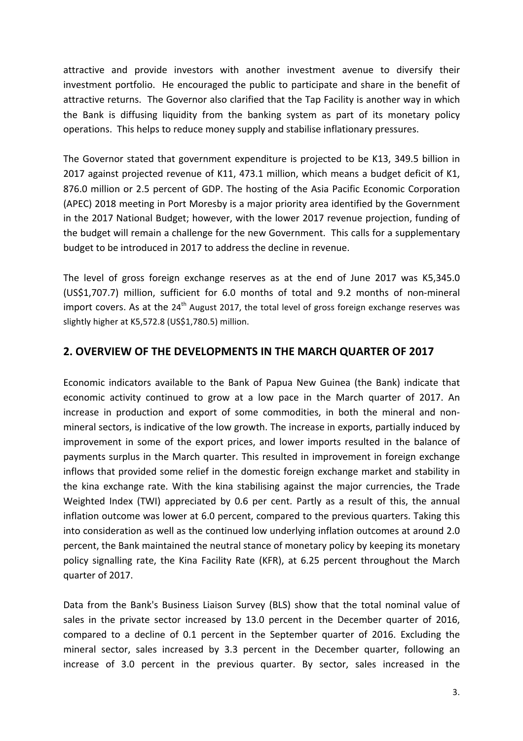attractive and provide investors with another investment avenue to diversify their investment portfolio. He encouraged the public to participate and share in the benefit of attractive returns. The Governor also clarified that the Tap Facility is another way in which the Bank is diffusing liquidity from the banking system as part of its monetary policy operations. This helps to reduce money supply and stabilise inflationary pressures.

The Governor stated that government expenditure is projected to be K13, 349.5 billion in 2017 against projected revenue of K11, 473.1 million, which means a budget deficit of K1, 876.0 million or 2.5 percent of GDP. The hosting of the Asia Pacific Economic Corporation (APEC) 2018 meeting in Port Moresby is a major priority area identified by the Government in the 2017 National Budget; however, with the lower 2017 revenue projection, funding of the budget will remain a challenge for the new Government. This calls for a supplementary budget to be introduced in 2017 to address the decline in revenue.

The level of gross foreign exchange reserves as at the end of June 2017 was K5,345.0 (US\$1,707.7) million, sufficient for 6.0 months of total and 9.2 months of non-mineral import covers. As at the 24<sup>th</sup> August 2017, the total level of gross foreign exchange reserves was slightly higher at K5,572.8 (US\$1,780.5) million.

## **2. OVERVIEW OF THE DEVELOPMENTS IN THE MARCH QUARTER OF 2017**

Economic indicators available to the Bank of Papua New Guinea (the Bank) indicate that economic activity continued to grow at a low pace in the March quarter of 2017. An increase in production and export of some commodities, in both the mineral and nonmineral sectors, is indicative of the low growth. The increase in exports, partially induced by improvement in some of the export prices, and lower imports resulted in the balance of payments surplus in the March quarter. This resulted in improvement in foreign exchange inflows that provided some relief in the domestic foreign exchange market and stability in the kina exchange rate. With the kina stabilising against the major currencies, the Trade Weighted Index (TWI) appreciated by 0.6 per cent. Partly as a result of this, the annual inflation outcome was lower at 6.0 percent, compared to the previous quarters. Taking this into consideration as well as the continued low underlying inflation outcomes at around 2.0 percent, the Bank maintained the neutral stance of monetary policy by keeping its monetary policy signalling rate, the Kina Facility Rate (KFR), at 6.25 percent throughout the March quarter of 2017.

Data from the Bank's Business Liaison Survey (BLS) show that the total nominal value of sales in the private sector increased by 13.0 percent in the December quarter of 2016, compared to a decline of 0.1 percent in the September quarter of 2016. Excluding the mineral sector, sales increased by 3.3 percent in the December quarter, following an increase of 3.0 percent in the previous quarter. By sector, sales increased in the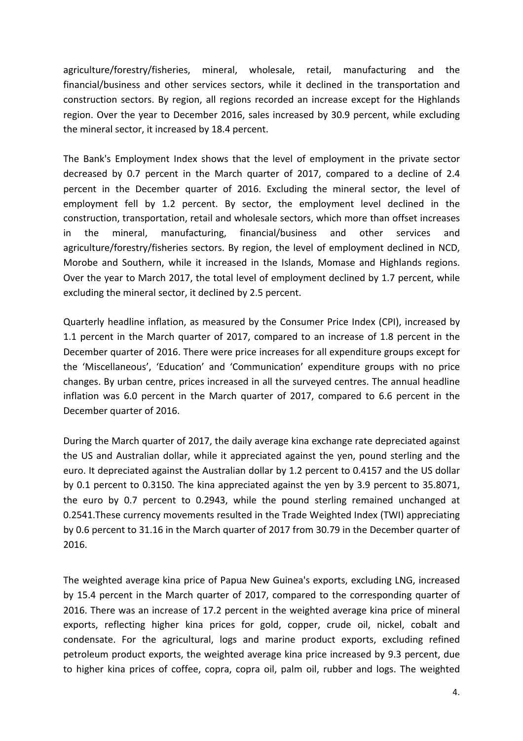agriculture/forestry/fisheries, mineral, wholesale, retail, manufacturing and the financial/business and other services sectors, while it declined in the transportation and construction sectors. By region, all regions recorded an increase except for the Highlands region. Over the year to December 2016, sales increased by 30.9 percent, while excluding the mineral sector, it increased by 18.4 percent.

The Bank's Employment Index shows that the level of employment in the private sector decreased by 0.7 percent in the March quarter of 2017, compared to a decline of 2.4 percent in the December quarter of 2016. Excluding the mineral sector, the level of employment fell by 1.2 percent. By sector, the employment level declined in the construction, transportation, retail and wholesale sectors, which more than offset increases in the mineral, manufacturing, financial/business and other services and agriculture/forestry/fisheries sectors. By region, the level of employment declined in NCD, Morobe and Southern, while it increased in the Islands, Momase and Highlands regions. Over the year to March 2017, the total level of employment declined by 1.7 percent, while excluding the mineral sector, it declined by 2.5 percent.

Quarterly headline inflation, as measured by the Consumer Price Index (CPI), increased by 1.1 percent in the March quarter of 2017, compared to an increase of 1.8 percent in the December quarter of 2016. There were price increases for all expenditure groups except for the 'Miscellaneous', 'Education' and 'Communication' expenditure groups with no price changes. By urban centre, prices increased in all the surveyed centres. The annual headline inflation was 6.0 percent in the March quarter of 2017, compared to 6.6 percent in the December quarter of 2016.

During the March quarter of 2017, the daily average kina exchange rate depreciated against the US and Australian dollar, while it appreciated against the yen, pound sterling and the euro. It depreciated against the Australian dollar by 1.2 percent to 0.4157 and the US dollar by 0.1 percent to 0.3150. The kina appreciated against the yen by 3.9 percent to 35.8071, the euro by 0.7 percent to 0.2943, while the pound sterling remained unchanged at 0.2541. These currency movements resulted in the Trade Weighted Index (TWI) appreciating by 0.6 percent to 31.16 in the March quarter of 2017 from 30.79 in the December quarter of 2016. 

The weighted average kina price of Papua New Guinea's exports, excluding LNG, increased by 15.4 percent in the March quarter of 2017, compared to the corresponding quarter of 2016. There was an increase of 17.2 percent in the weighted average kina price of mineral exports, reflecting higher kina prices for gold, copper, crude oil, nickel, cobalt and condensate. For the agricultural, logs and marine product exports, excluding refined petroleum product exports, the weighted average kina price increased by 9.3 percent, due to higher kina prices of coffee, copra, copra oil, palm oil, rubber and logs. The weighted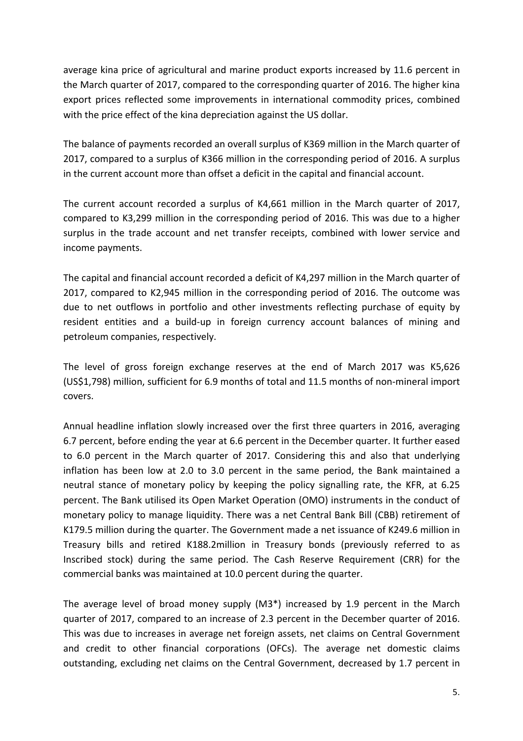average kina price of agricultural and marine product exports increased by 11.6 percent in the March quarter of 2017, compared to the corresponding quarter of 2016. The higher kina export prices reflected some improvements in international commodity prices, combined with the price effect of the kina depreciation against the US dollar.

The balance of payments recorded an overall surplus of K369 million in the March quarter of 2017, compared to a surplus of K366 million in the corresponding period of 2016. A surplus in the current account more than offset a deficit in the capital and financial account.

The current account recorded a surplus of K4,661 million in the March quarter of 2017, compared to K3,299 million in the corresponding period of 2016. This was due to a higher surplus in the trade account and net transfer receipts, combined with lower service and income payments.

The capital and financial account recorded a deficit of K4,297 million in the March quarter of 2017, compared to K2,945 million in the corresponding period of 2016. The outcome was due to net outflows in portfolio and other investments reflecting purchase of equity by resident entities and a build-up in foreign currency account balances of mining and petroleum companies, respectively.

The level of gross foreign exchange reserves at the end of March 2017 was K5,626 (US\$1,798) million, sufficient for 6.9 months of total and 11.5 months of non-mineral import covers.

Annual headline inflation slowly increased over the first three quarters in 2016, averaging 6.7 percent, before ending the year at 6.6 percent in the December quarter. It further eased to 6.0 percent in the March quarter of 2017. Considering this and also that underlying inflation has been low at 2.0 to 3.0 percent in the same period, the Bank maintained a neutral stance of monetary policy by keeping the policy signalling rate, the KFR, at 6.25 percent. The Bank utilised its Open Market Operation (OMO) instruments in the conduct of monetary policy to manage liquidity. There was a net Central Bank Bill (CBB) retirement of K179.5 million during the quarter. The Government made a net issuance of K249.6 million in Treasury bills and retired K188.2million in Treasury bonds (previously referred to as Inscribed stock) during the same period. The Cash Reserve Requirement (CRR) for the commercial banks was maintained at 10.0 percent during the quarter.

The average level of broad money supply  $(M3^*)$  increased by 1.9 percent in the March quarter of 2017, compared to an increase of 2.3 percent in the December quarter of 2016. This was due to increases in average net foreign assets, net claims on Central Government and credit to other financial corporations (OFCs). The average net domestic claims outstanding, excluding net claims on the Central Government, decreased by 1.7 percent in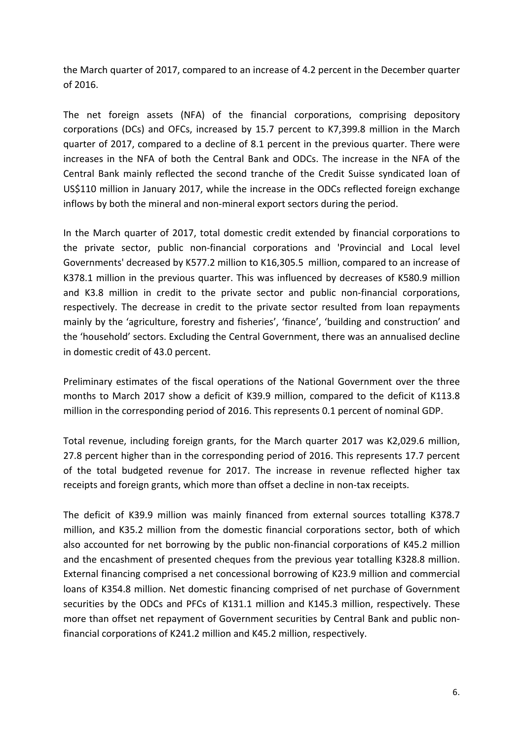the March quarter of 2017, compared to an increase of 4.2 percent in the December quarter of 2016.

The net foreign assets (NFA) of the financial corporations, comprising depository corporations (DCs) and OFCs, increased by 15.7 percent to K7,399.8 million in the March quarter of 2017, compared to a decline of 8.1 percent in the previous quarter. There were increases in the NFA of both the Central Bank and ODCs. The increase in the NFA of the Central Bank mainly reflected the second tranche of the Credit Suisse syndicated loan of US\$110 million in January 2017, while the increase in the ODCs reflected foreign exchange inflows by both the mineral and non-mineral export sectors during the period.

In the March quarter of 2017, total domestic credit extended by financial corporations to the private sector, public non-financial corporations and 'Provincial and Local level Governments' decreased by K577.2 million to K16,305.5 million, compared to an increase of K378.1 million in the previous quarter. This was influenced by decreases of K580.9 million and K3.8 million in credit to the private sector and public non-financial corporations, respectively. The decrease in credit to the private sector resulted from loan repayments mainly by the 'agriculture, forestry and fisheries', 'finance', 'building and construction' and the 'household' sectors. Excluding the Central Government, there was an annualised decline in domestic credit of 43.0 percent.

Preliminary estimates of the fiscal operations of the National Government over the three months to March 2017 show a deficit of K39.9 million, compared to the deficit of K113.8 million in the corresponding period of 2016. This represents 0.1 percent of nominal GDP.

Total revenue, including foreign grants, for the March quarter 2017 was K2,029.6 million, 27.8 percent higher than in the corresponding period of 2016. This represents 17.7 percent of the total budgeted revenue for 2017. The increase in revenue reflected higher tax receipts and foreign grants, which more than offset a decline in non-tax receipts.

The deficit of K39.9 million was mainly financed from external sources totalling K378.7 million, and K35.2 million from the domestic financial corporations sector, both of which also accounted for net borrowing by the public non-financial corporations of K45.2 million and the encashment of presented cheques from the previous year totalling K328.8 million. External financing comprised a net concessional borrowing of K23.9 million and commercial loans of K354.8 million. Net domestic financing comprised of net purchase of Government securities by the ODCs and PFCs of K131.1 million and K145.3 million, respectively. These more than offset net repayment of Government securities by Central Bank and public nonfinancial corporations of K241.2 million and K45.2 million, respectively.